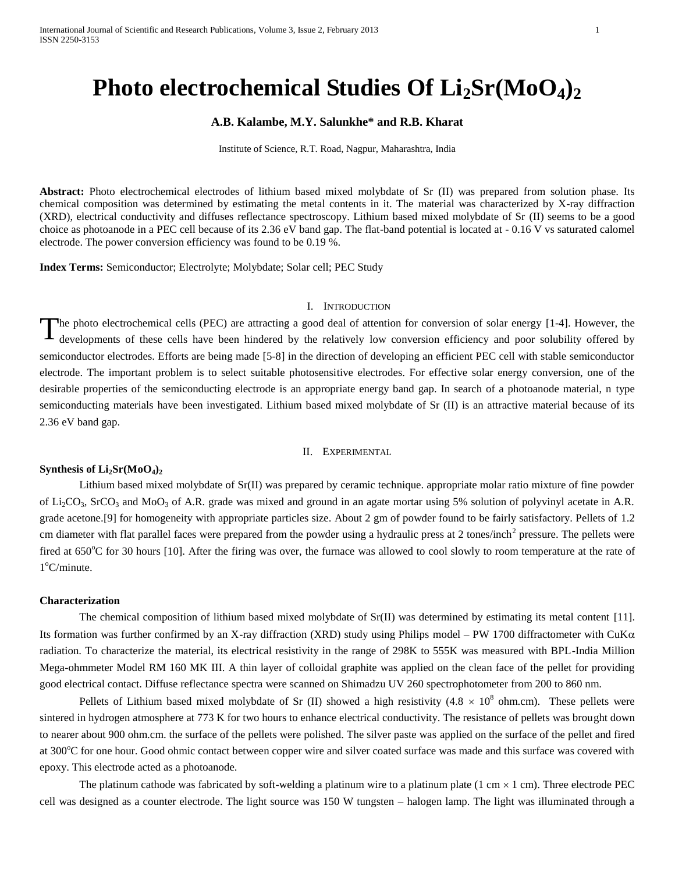# **Photo electrochemical Studies Of Li2Sr(MoO4)<sup>2</sup>**

## **A.B. Kalambe, M.Y. Salunkhe\* and R.B. Kharat**

Institute of Science, R.T. Road, Nagpur, Maharashtra, India

**Abstract:** Photo electrochemical electrodes of lithium based mixed molybdate of Sr (II) was prepared from solution phase. Its chemical composition was determined by estimating the metal contents in it. The material was characterized by X-ray diffraction (XRD), electrical conductivity and diffuses reflectance spectroscopy. Lithium based mixed molybdate of Sr (II) seems to be a good choice as photoanode in a PEC cell because of its 2.36 eV band gap. The flat-band potential is located at - 0.16 V vs saturated calomel electrode. The power conversion efficiency was found to be 0.19 %.

**Index Terms:** Semiconductor; Electrolyte; Molybdate; Solar cell; PEC Study

## I. INTRODUCTION

he photo electrochemical cells (PEC) are attracting a good deal of attention for conversion of solar energy [1-4]. However, the developments of these cells have been hindered by the relatively low conversion efficiency and poor solubility offered by semiconductor electrodes. Efforts are being made [5-8] in the direction of developing an efficient PEC cell with stable semiconductor electrode. The important problem is to select suitable photosensitive electrodes. For effective solar energy conversion, one of the desirable properties of the semiconducting electrode is an appropriate energy band gap. In search of a photoanode material, n type semiconducting materials have been investigated. Lithium based mixed molybdate of Sr (II) is an attractive material because of its 2.36 eV band gap. T

#### II. EXPERIMENTAL

#### **Synthesis of Li2Sr(MoO4)<sup>2</sup>**

Lithium based mixed molybdate of Sr(II) was prepared by ceramic technique. appropriate molar ratio mixture of fine powder of  $Li<sub>2</sub>CO<sub>3</sub>$ , SrCO<sub>3</sub> and MoO<sub>3</sub> of A.R. grade was mixed and ground in an agate mortar using 5% solution of polyvinyl acetate in A.R. grade acetone.[9] for homogeneity with appropriate particles size. About 2 gm of powder found to be fairly satisfactory. Pellets of 1.2 cm diameter with flat parallel faces were prepared from the powder using a hydraulic press at 2 tones/inch<sup>2</sup> pressure. The pellets were fired at 650°C for 30 hours [10]. After the firing was over, the furnace was allowed to cool slowly to room temperature at the rate of 1<sup>°</sup>C/minute.

## **Characterization**

The chemical composition of lithium based mixed molybdate of Sr(II) was determined by estimating its metal content [11]. Its formation was further confirmed by an X-ray diffraction (XRD) study using Philips model – PW 1700 diffractometer with  $CuK\alpha$ radiation. To characterize the material, its electrical resistivity in the range of 298K to 555K was measured with BPL-India Million Mega-ohmmeter Model RM 160 MK III. A thin layer of colloidal graphite was applied on the clean face of the pellet for providing good electrical contact. Diffuse reflectance spectra were scanned on Shimadzu UV 260 spectrophotometer from 200 to 860 nm.

Pellets of Lithium based mixed molybdate of Sr (II) showed a high resistivity (4.8  $\times$  10<sup>8</sup> ohm.cm). These pellets were sintered in hydrogen atmosphere at 773 K for two hours to enhance electrical conductivity. The resistance of pellets was brought down to nearer about 900 ohm.cm. the surface of the pellets were polished. The silver paste was applied on the surface of the pellet and fired at 300°C for one hour. Good ohmic contact between copper wire and silver coated surface was made and this surface was covered with epoxy. This electrode acted as a photoanode.

The platinum cathode was fabricated by soft-welding a platinum wire to a platinum plate  $(1 \text{ cm} \times 1 \text{ cm})$ . Three electrode PEC cell was designed as a counter electrode. The light source was 150 W tungsten – halogen lamp. The light was illuminated through a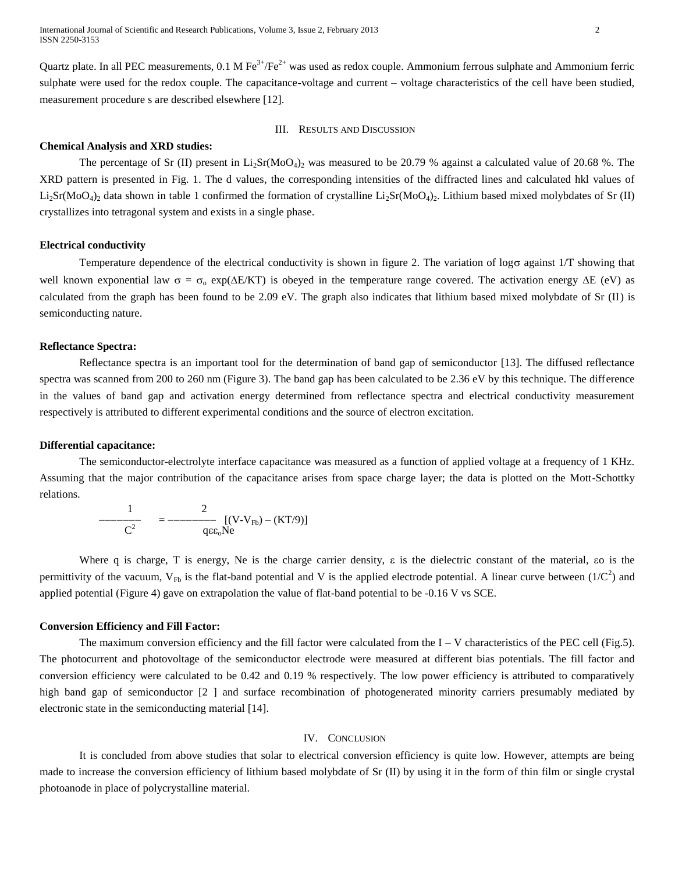Quartz plate. In all PEC measurements,  $0.1 M Fe^{3+}/Fe^{2+}$  was used as redox couple. Ammonium ferrous sulphate and Ammonium ferric sulphate were used for the redox couple. The capacitance-voltage and current – voltage characteristics of the cell have been studied, measurement procedure s are described elsewhere [12].

## III. RESULTS AND DISCUSSION

#### **Chemical Analysis and XRD studies:**

The percentage of Sr (II) present in  $Li_2Sr(MoO<sub>4</sub>)<sub>2</sub>$  was measured to be 20.79 % against a calculated value of 20.68 %. The XRD pattern is presented in Fig. 1. The d values, the corresponding intensities of the diffracted lines and calculated hkl values of  $Li_2Sr(MoO_4)_2$  data shown in table 1 confirmed the formation of crystalline  $Li_2Sr(MoO_4)_2$ . Lithium based mixed molybdates of Sr (II) crystallizes into tetragonal system and exists in a single phase.

## **Electrical conductivity**

Temperature dependence of the electrical conductivity is shown in figure 2. The variation of  $\log \sigma$  against 1/T showing that well known exponential law  $\sigma = \sigma_0 \exp(\Delta E/KT)$  is obeyed in the temperature range covered. The activation energy  $\Delta E$  (eV) as calculated from the graph has been found to be 2.09 eV. The graph also indicates that lithium based mixed molybdate of Sr (II) is semiconducting nature.

## **Reflectance Spectra:**

Reflectance spectra is an important tool for the determination of band gap of semiconductor [13]. The diffused reflectance spectra was scanned from 200 to 260 nm (Figure 3). The band gap has been calculated to be 2.36 eV by this technique. The difference in the values of band gap and activation energy determined from reflectance spectra and electrical conductivity measurement respectively is attributed to different experimental conditions and the source of electron excitation.

### **Differential capacitance:**

The semiconductor-electrolyte interface capacitance was measured as a function of applied voltage at a frequency of 1 KHz. Assuming that the major contribution of the capacitance arises from space charge layer; the data is plotted on the Mott-Schottky relations.

$$
-\frac{1}{C^2} = -\frac{2}{q\epsilon_0 Ne} [(V-V_{Fb}) - (KT/9)]
$$

Where q is charge, T is energy, Ne is the charge carrier density,  $\varepsilon$  is the dielectric constant of the material, so is the permittivity of the vacuum,  $V_{Fb}$  is the flat-band potential and V is the applied electrode potential. A linear curve between (1/ $C<sup>2</sup>$ ) and applied potential (Figure 4) gave on extrapolation the value of flat-band potential to be -0.16 V vs SCE.

#### **Conversion Efficiency and Fill Factor:**

The maximum conversion efficiency and the fill factor were calculated from the  $I - V$  characteristics of the PEC cell (Fig.5). The photocurrent and photovoltage of the semiconductor electrode were measured at different bias potentials. The fill factor and conversion efficiency were calculated to be 0.42 and 0.19 % respectively. The low power efficiency is attributed to comparatively high band gap of semiconductor [2] and surface recombination of photogenerated minority carriers presumably mediated by electronic state in the semiconducting material [14].

## IV. CONCLUSION

It is concluded from above studies that solar to electrical conversion efficiency is quite low. However, attempts are being made to increase the conversion efficiency of lithium based molybdate of Sr (II) by using it in the form of thin film or single crystal photoanode in place of polycrystalline material.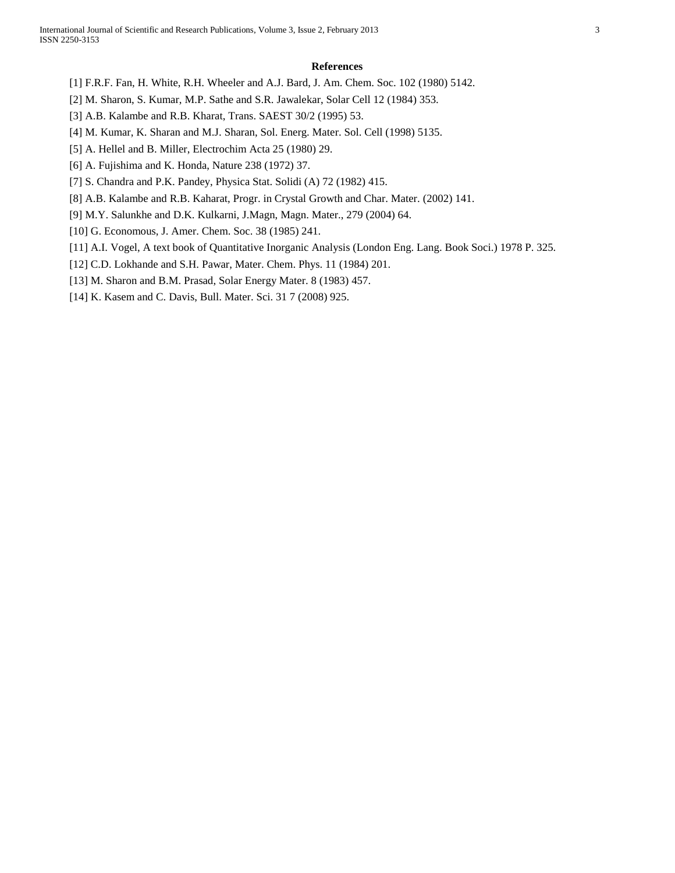#### **References**

- [1] F.R.F. Fan, H. White, R.H. Wheeler and A.J. Bard, J. Am. Chem. Soc. 102 (1980) 5142.
- [2] M. Sharon, S. Kumar, M.P. Sathe and S.R. Jawalekar, Solar Cell 12 (1984) 353.
- [3] A.B. Kalambe and R.B. Kharat, Trans. SAEST 30/2 (1995) 53.
- [4] M. Kumar, K. Sharan and M.J. Sharan, Sol. Energ. Mater. Sol. Cell (1998) 5135.
- [5] A. Hellel and B. Miller, Electrochim Acta 25 (1980) 29.
- [6] A. Fujishima and K. Honda, Nature 238 (1972) 37.
- [7] S. Chandra and P.K. Pandey, Physica Stat. Solidi (A) 72 (1982) 415.
- [8] A.B. Kalambe and R.B. Kaharat, Progr. in Crystal Growth and Char. Mater. (2002) 141.
- [9] M.Y. Salunkhe and D.K. Kulkarni, J.Magn, Magn. Mater., 279 (2004) 64.
- [10] G. Economous, J. Amer. Chem. Soc. 38 (1985) 241.
- [11] A.I. Vogel, A text book of Quantitative Inorganic Analysis (London Eng. Lang. Book Soci.) 1978 P. 325.
- [12] C.D. Lokhande and S.H. Pawar, Mater. Chem. Phys. 11 (1984) 201.
- [13] M. Sharon and B.M. Prasad, Solar Energy Mater. 8 (1983) 457.
- [14] K. Kasem and C. Davis, Bull. Mater. Sci. 31 7 (2008) 925.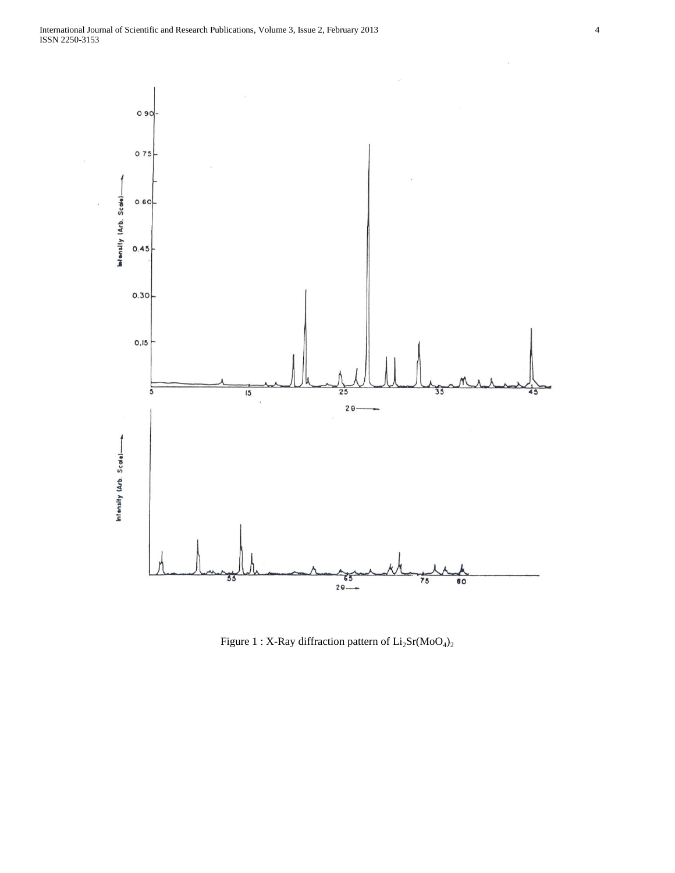

Figure 1 : X-Ray diffraction pattern of  $\rm Li_2Sr(MoO_4)_2$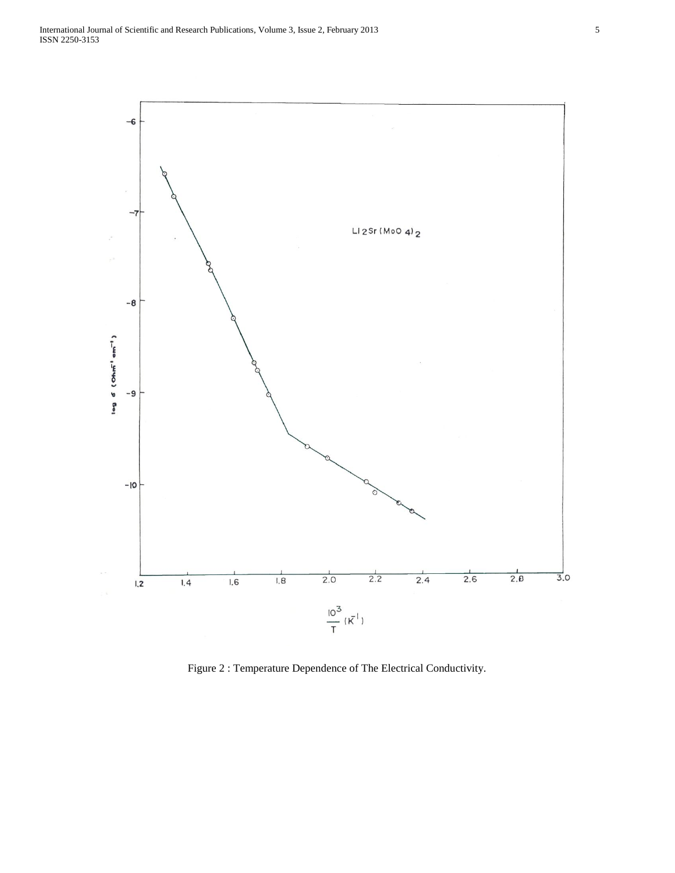

Figure 2 : Temperature Dependence of The Electrical Conductivity.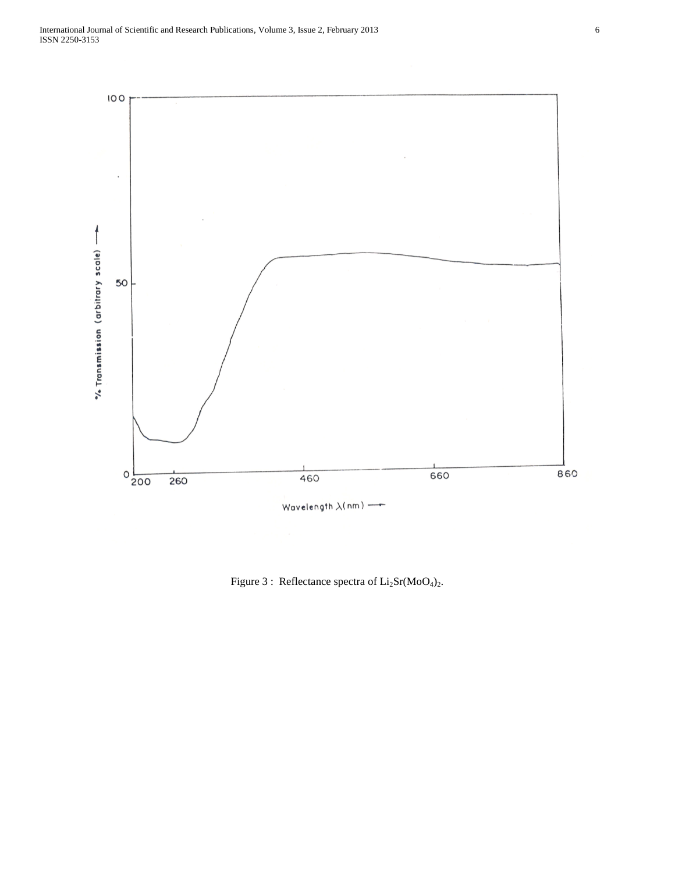

Figure 3 : Reflectance spectra of  $Li<sub>2</sub>Sr(MoO<sub>4</sub>)<sub>2</sub>$ .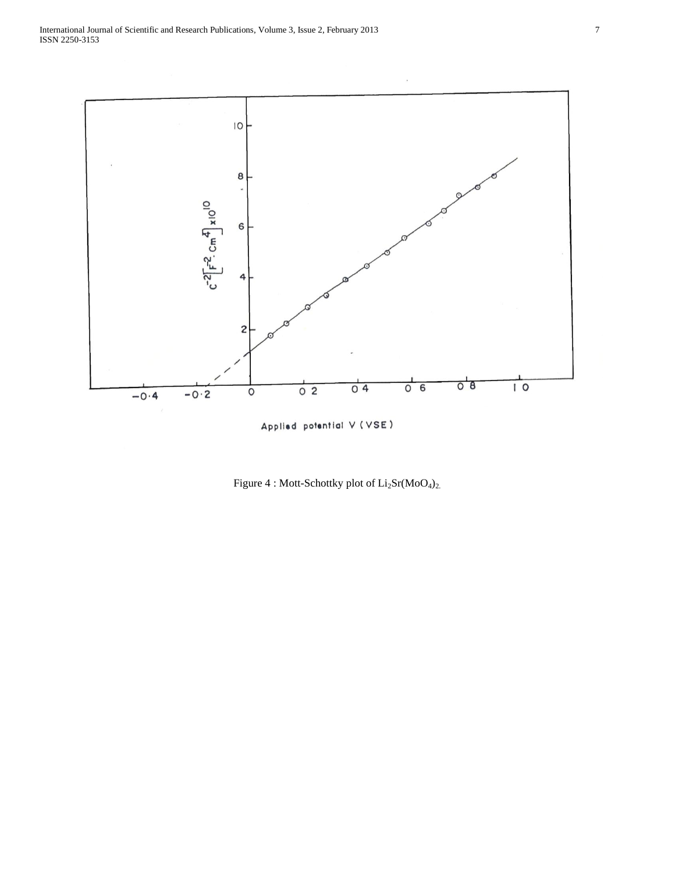

Applied potential V (VSE)

Figure 4 : Mott-Schottky plot of  $Li_2Sr(MoO_4)_2$ .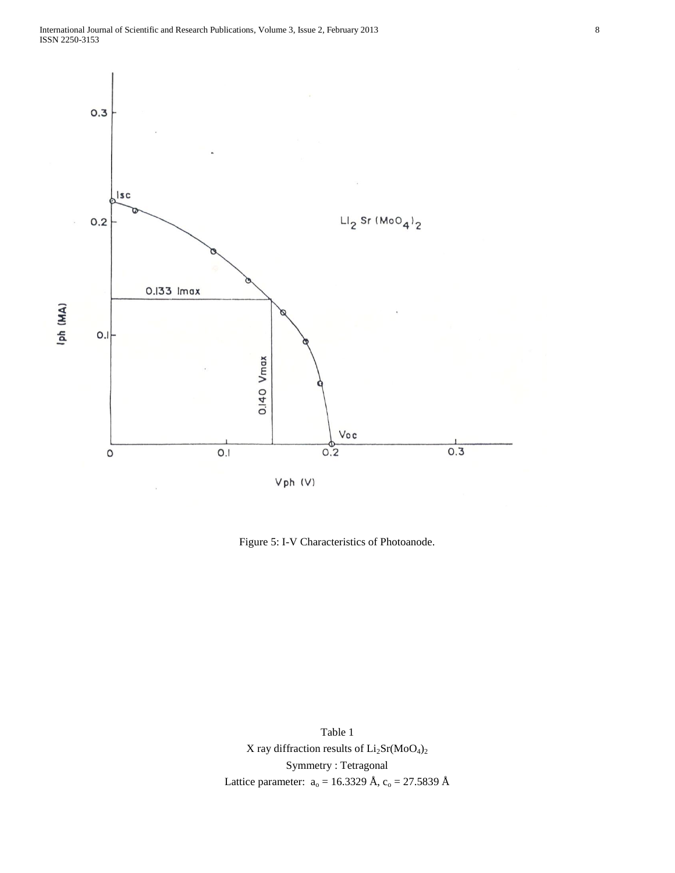

Figure 5: I-V Characteristics of Photoanode.

Table 1 X ray diffraction results of  $Li<sub>2</sub>Sr(MoO<sub>4</sub>)<sub>2</sub>$ Symmetry : Tetragonal Lattice parameter:  $a_0 = 16.3329 \text{ Å}, c_0 = 27.5839 \text{ Å}$